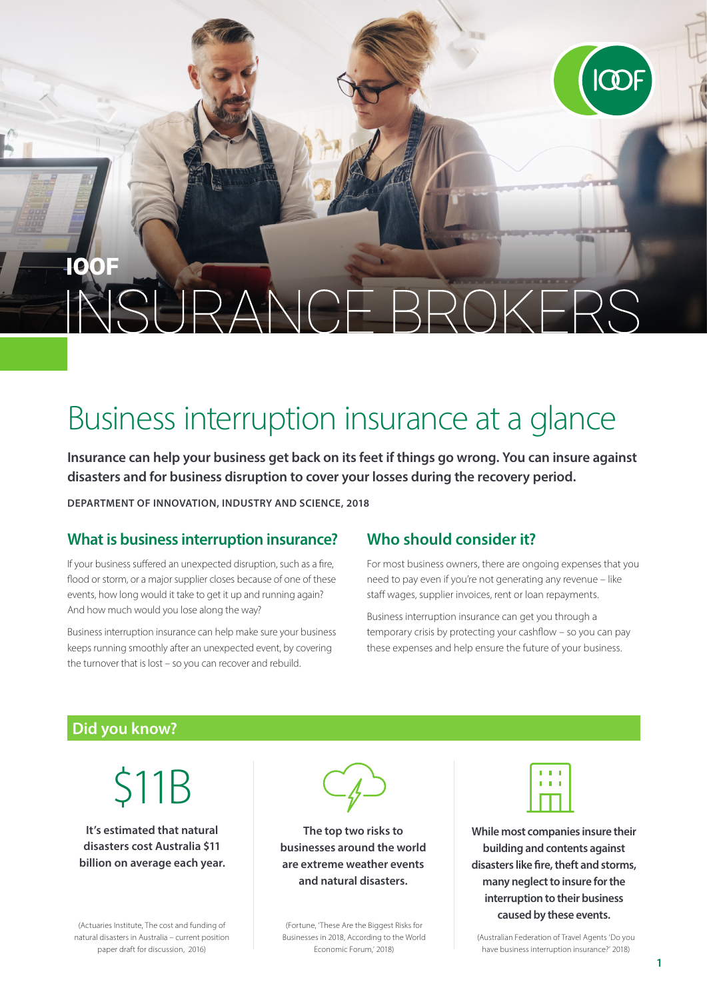# 10 RANCE BROKERS

# Business interruption insurance at a glance

**Insurance can help your business get back on its feet if things go wrong. You can insure against disasters and for business disruption to cover your losses during the recovery period.**

**DEPARTMENT OF INNOVATION, INDUSTRY AND SCIENCE, 2018**

## **What is business interruption insurance?**

If your business suffered an unexpected disruption, such as a fire, flood or storm, or a major supplier closes because of one of these events, how long would it take to get it up and running again? And how much would you lose along the way?

Business interruption insurance can help make sure your business keeps running smoothly after an unexpected event, by covering the turnover that is lost – so you can recover and rebuild.

## **Who should consider it?**

For most business owners, there are ongoing expenses that you need to pay even if you're not generating any revenue – like staff wages, supplier invoices, rent or loan repayments.

Business interruption insurance can get you through a temporary crisis by protecting your cashflow – so you can pay these expenses and help ensure the future of your business.

#### **Did you know?**

\$11B

**It's estimated that natural disasters cost Australia \$11 billion on average each year.**

(Actuaries Institute, The cost and funding of natural disasters in Australia – current position paper draft for discussion, 2016)



**The top two risks to businesses around the world are extreme weather events and natural disasters.**

(Fortune, 'These Are the Biggest Risks for Businesses in 2018, According to the World Economic Forum,' 2018)



**While most companies insure their building and contents against disasters like fire, theft and storms, many neglect to insure for the interruption to their business caused by these events.**

(Australian Federation of Travel Agents 'Do you have business interruption insurance?' 2018)